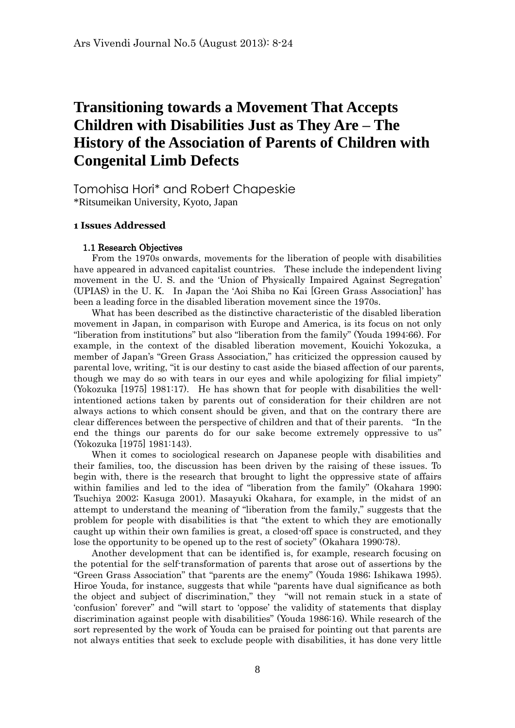# **Transitioning towards a Movement That Accepts Children with Disabilities Just as They Are – The History of the Association of Parents of Children with Congenital Limb Defects**

Tomohisa Hori\* and Robert Chapeskie \*Ritsumeikan University, Kyoto, Japan

# **1 Issues Addressed**

#### 1.1 Research Objectives

 From the 1970s onwards, movements for the liberation of people with disabilities have appeared in advanced capitalist countries. These include the independent living movement in the U. S. and the 'Union of Physically Impaired Against Segregation' (UPIAS) in the U. K. In Japan the 'Aoi Shiba no Kai [Green Grass Association]' has been a leading force in the disabled liberation movement since the 1970s.

 What has been described as the distinctive characteristic of the disabled liberation movement in Japan, in comparison with Europe and America, is its focus on not only "liberation from institutions" but also "liberation from the family" (Youda 1994:66). For example, in the context of the disabled liberation movement, Kouichi Yokozuka, a member of Japan's "Green Grass Association," has criticized the oppression caused by parental love, writing, "it is our destiny to cast aside the biased affection of our parents, though we may do so with tears in our eyes and while apologizing for filial impiety" (Yokozuka [1975] 1981:17). He has shown that for people with disabilities the wellintentioned actions taken by parents out of consideration for their children are not always actions to which consent should be given, and that on the contrary there are clear differences between the perspective of children and that of their parents. "In the end the things our parents do for our sake become extremely oppressive to us" (Yokozuka [1975] 1981:143).

 When it comes to sociological research on Japanese people with disabilities and their families, too, the discussion has been driven by the raising of these issues. To begin with, there is the research that brought to light the oppressive state of affairs within families and led to the idea of "liberation from the family" (Okahara 1990; Tsuchiya 2002; Kasuga 2001). Masayuki Okahara, for example, in the midst of an attempt to understand the meaning of "liberation from the family," suggests that the problem for people with disabilities is that "the extent to which they are emotionally caught up within their own families is great, a closed-off space is constructed, and they lose the opportunity to be opened up to the rest of society" (Okahara 1990:78).

 Another development that can be identified is, for example, research focusing on the potential for the self-transformation of parents that arose out of assertions by the "Green Grass Association" that "parents are the enemy" (Youda 1986; Ishikawa 1995). Hiroe Youda, for instance, suggests that while "parents have dual significance as both the object and subject of discrimination," they "will not remain stuck in a state of 'confusion' forever" and "will start to 'oppose' the validity of statements that display discrimination against people with disabilities" (Youda 1986:16). While research of the sort represented by the work of Youda can be praised for pointing out that parents are not always entities that seek to exclude people with disabilities, it has done very little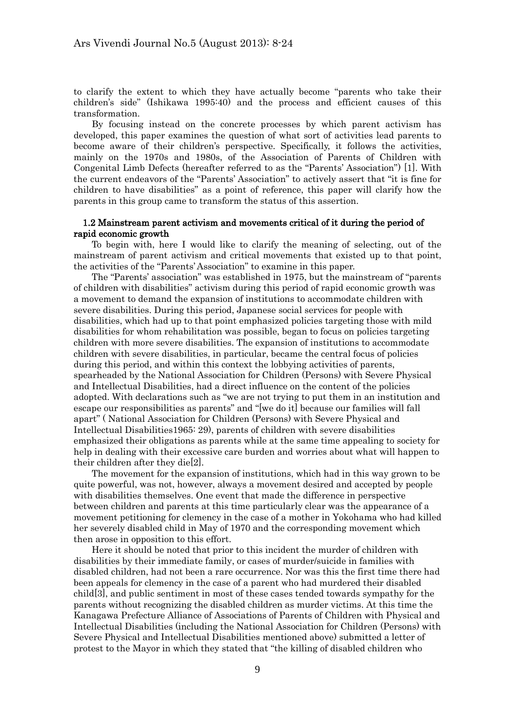to clarify the extent to which they have actually become "parents who take their children's side" (Ishikawa 1995:40) and the process and efficient causes of this transformation.

 By focusing instead on the concrete processes by which parent activism has developed, this paper examines the question of what sort of activities lead parents to become aware of their children's perspective. Specifically, it follows the activities, mainly on the 1970s and 1980s, of the Association of Parents of Children with Congenital Limb Defects (hereafter referred to as the "Parents' Association") [1]. With the current endeavors of the "Parents' Association" to actively assert that "it is fine for children to have disabilities" as a point of reference, this paper will clarify how the parents in this group came to transform the status of this assertion.

# 1.2 Mainstream parent activism and movements critical of it during the period of rapid economic growth

 To begin with, here I would like to clarify the meaning of selecting, out of the mainstream of parent activism and critical movements that existed up to that point, the activities of the "Parents' Association" to examine in this paper.

 The "Parents' association" was established in 1975, but the mainstream of "parents of children with disabilities" activism during this period of rapid economic growth was a movement to demand the expansion of institutions to accommodate children with severe disabilities. During this period, Japanese social services for people with disabilities, which had up to that point emphasized policies targeting those with mild disabilities for whom rehabilitation was possible, began to focus on policies targeting children with more severe disabilities. The expansion of institutions to accommodate children with severe disabilities, in particular, became the central focus of policies during this period, and within this context the lobbying activities of parents, spearheaded by the National Association for Children (Persons) with Severe Physical and Intellectual Disabilities, had a direct influence on the content of the policies adopted. With declarations such as "we are not trying to put them in an institution and escape our responsibilities as parents" and "[we do it] because our families will fall apart" ( National Association for Children (Persons) with Severe Physical and Intellectual Disabilities1965: 29), parents of children with severe disabilities emphasized their obligations as parents while at the same time appealing to society for help in dealing with their excessive care burden and worries about what will happen to their children after they die[2].

 The movement for the expansion of institutions, which had in this way grown to be quite powerful, was not, however, always a movement desired and accepted by people with disabilities themselves. One event that made the difference in perspective between children and parents at this time particularly clear was the appearance of a movement petitioning for clemency in the case of a mother in Yokohama who had killed her severely disabled child in May of 1970 and the corresponding movement which then arose in opposition to this effort.

 Here it should be noted that prior to this incident the murder of children with disabilities by their immediate family, or cases of murder/suicide in families with disabled children, had not been a rare occurrence. Nor was this the first time there had been appeals for clemency in the case of a parent who had murdered their disabled child[3], and public sentiment in most of these cases tended towards sympathy for the parents without recognizing the disabled children as murder victims. At this time the Kanagawa Prefecture Alliance of Associations of Parents of Children with Physical and Intellectual Disabilities (including the National Association for Children (Persons) with Severe Physical and Intellectual Disabilities mentioned above) submitted a letter of protest to the Mayor in which they stated that "the killing of disabled children who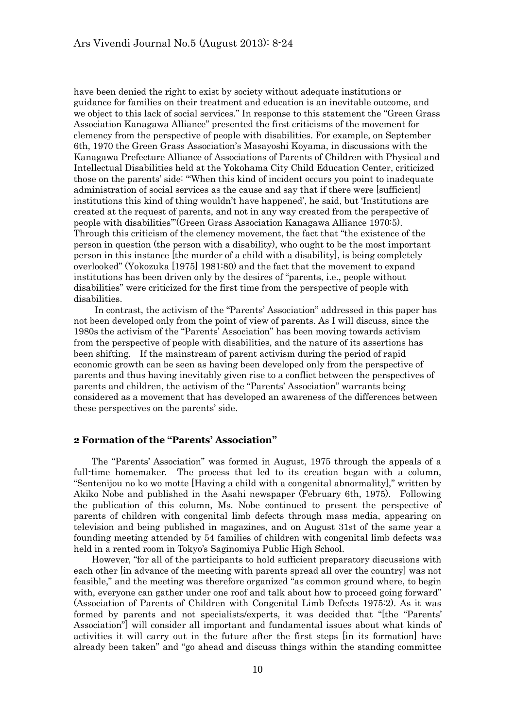have been denied the right to exist by society without adequate institutions or guidance for families on their treatment and education is an inevitable outcome, and we object to this lack of social services." In response to this statement the "Green Grass Association Kanagawa Alliance" presented the first criticisms of the movement for clemency from the perspective of people with disabilities. For example, on September 6th, 1970 the Green Grass Association's Masayoshi Koyama, in discussions with the Kanagawa Prefecture Alliance of Associations of Parents of Children with Physical and Intellectual Disabilities held at the Yokohama City Child Education Center, criticized those on the parents' side: "'When this kind of incident occurs you point to inadequate administration of social services as the cause and say that if there were [sufficient] institutions this kind of thing wouldn't have happened', he said, but 'Institutions are created at the request of parents, and not in any way created from the perspective of people with disabilities'"(Green Grass Association Kanagawa Alliance 1970:5). Through this criticism of the clemency movement, the fact that "the existence of the person in question (the person with a disability), who ought to be the most important person in this instance [the murder of a child with a disability], is being completely overlooked" (Yokozuka [1975] 1981:80) and the fact that the movement to expand institutions has been driven only by the desires of "parents, i.e., people without disabilities" were criticized for the first time from the perspective of people with disabilities.

 In contrast, the activism of the "Parents' Association" addressed in this paper has not been developed only from the point of view of parents. As I will discuss, since the 1980s the activism of the "Parents' Association" has been moving towards activism from the perspective of people with disabilities, and the nature of its assertions has been shifting. If the mainstream of parent activism during the period of rapid economic growth can be seen as having been developed only from the perspective of parents and thus having inevitably given rise to a conflict between the perspectives of parents and children, the activism of the "Parents' Association" warrants being considered as a movement that has developed an awareness of the differences between these perspectives on the parents' side.

# **2 Formation of the "Parents' Association"**

 The "Parents' Association" was formed in August, 1975 through the appeals of a full-time homemaker. The process that led to its creation began with a column, "Sentenijou no ko wo motte [Having a child with a congenital abnormality]," written by Akiko Nobe and published in the Asahi newspaper (February 6th, 1975). Following the publication of this column, Ms. Nobe continued to present the perspective of parents of children with congenital limb defects through mass media, appearing on television and being published in magazines, and on August 31st of the same year a founding meeting attended by 54 families of children with congenital limb defects was held in a rented room in Tokyo's Saginomiya Public High School.

 However, "for all of the participants to hold sufficient preparatory discussions with each other [in advance of the meeting with parents spread all over the country] was not feasible," and the meeting was therefore organized "as common ground where, to begin with, everyone can gather under one roof and talk about how to proceed going forward" (Association of Parents of Children with Congenital Limb Defects 1975:2). As it was formed by parents and not specialists/experts, it was decided that "[the "Parents' Association"] will consider all important and fundamental issues about what kinds of activities it will carry out in the future after the first steps [in its formation] have already been taken" and "go ahead and discuss things within the standing committee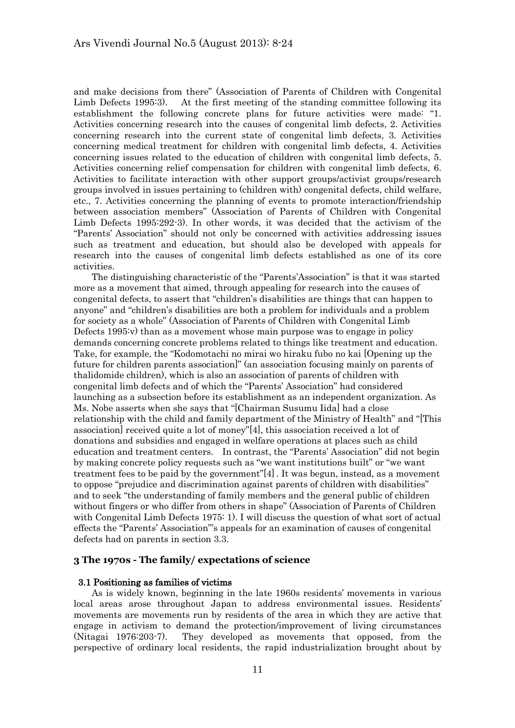and make decisions from there" (Association of Parents of Children with Congenital Limb Defects 1995:3). At the first meeting of the standing committee following its establishment the following concrete plans for future activities were made: "1. Activities concerning research into the causes of congenital limb defects, 2. Activities concerning research into the current state of congenital limb defects, 3. Activities concerning medical treatment for children with congenital limb defects, 4. Activities concerning issues related to the education of children with congenital limb defects, 5. Activities concerning relief compensation for children with congenital limb defects, 6. Activities to facilitate interaction with other support groups/activist groups/research groups involved in issues pertaining to (children with) congenital defects, child welfare, etc., 7. Activities concerning the planning of events to promote interaction/friendship between association members" (Association of Parents of Children with Congenital Limb Defects 1995:292-3). In other words, it was decided that the activism of the "Parents' Association" should not only be concerned with activities addressing issues such as treatment and education, but should also be developed with appeals for research into the causes of congenital limb defects established as one of its core activities.

 The distinguishing characteristic of the "Parents'Association" is that it was started more as a movement that aimed, through appealing for research into the causes of congenital defects, to assert that "children's disabilities are things that can happen to anyone" and "children's disabilities are both a problem for individuals and a problem for society as a whole" (Association of Parents of Children with Congenital Limb Defects 1995:v) than as a movement whose main purpose was to engage in policy demands concerning concrete problems related to things like treatment and education. Take, for example, the "Kodomotachi no mirai wo hiraku fubo no kai [Opening up the future for children parents association]" (an association focusing mainly on parents of thalidomide children), which is also an association of parents of children with congenital limb defects and of which the "Parents' Association" had considered launching as a subsection before its establishment as an independent organization. As Ms. Nobe asserts when she says that "[Chairman Susumu Iida] had a close relationship with the child and family department of the Ministry of Health" and "[This association] received quite a lot of money"[4], this association received a lot of donations and subsidies and engaged in welfare operations at places such as child education and treatment centers. In contrast, the "Parents' Association" did not begin by making concrete policy requests such as "we want institutions built" or "we want treatment fees to be paid by the government"[4] . It was begun, instead, as a movement to oppose "prejudice and discrimination against parents of children with disabilities" and to seek "the understanding of family members and the general public of children without fingers or who differ from others in shape" (Association of Parents of Children with Congenital Limb Defects 1975: 1). I will discuss the question of what sort of actual effects the "Parents' Association"'s appeals for an examination of causes of congenital defects had on parents in section 3.3.

#### **3 The 1970s - The family/ expectations of science**

#### 3.1 Positioning as families of victims

 As is widely known, beginning in the late 1960s residents' movements in various local areas arose throughout Japan to address environmental issues. Residents' movements are movements run by residents of the area in which they are active that engage in activism to demand the protection/improvement of living circumstances (Nitagai 1976:203-7). They developed as movements that opposed, from the perspective of ordinary local residents, the rapid industrialization brought about by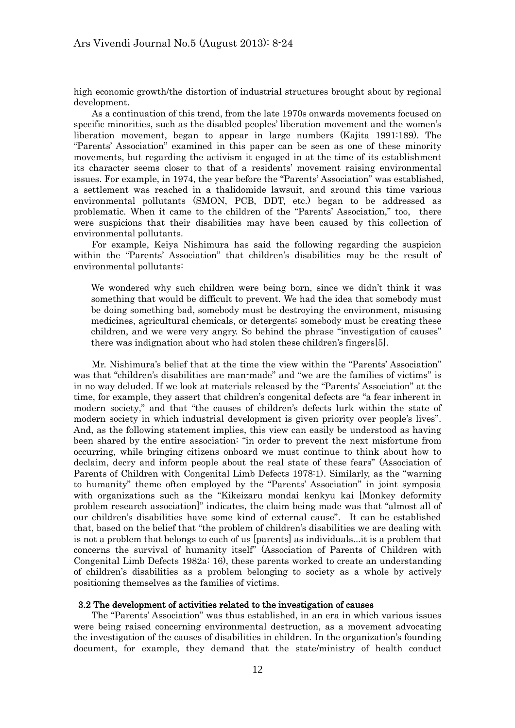high economic growth/the distortion of industrial structures brought about by regional development.

 As a continuation of this trend, from the late 1970s onwards movements focused on specific minorities, such as the disabled peoples' liberation movement and the women's liberation movement, began to appear in large numbers (Kajita 1991:189). The "Parents' Association" examined in this paper can be seen as one of these minority movements, but regarding the activism it engaged in at the time of its establishment its character seems closer to that of a residents' movement raising environmental issues. For example, in 1974, the year before the "Parents' Association" was established, a settlement was reached in a thalidomide lawsuit, and around this time various environmental pollutants (SMON, PCB, DDT, etc.) began to be addressed as problematic. When it came to the children of the "Parents' Association," too, there were suspicions that their disabilities may have been caused by this collection of environmental pollutants.

 For example, Keiya Nishimura has said the following regarding the suspicion within the "Parents' Association" that children's disabilities may be the result of environmental pollutants:

We wondered why such children were being born, since we didn't think it was something that would be difficult to prevent. We had the idea that somebody must be doing something bad, somebody must be destroying the environment, misusing medicines, agricultural chemicals, or detergents; somebody must be creating these children, and we were very angry. So behind the phrase "investigation of causes" there was indignation about who had stolen these children's fingers[5].

 Mr. Nishimura's belief that at the time the view within the "Parents' Association" was that "children's disabilities are man-made" and "we are the families of victims" is in no way deluded. If we look at materials released by the "Parents' Association" at the time, for example, they assert that children's congenital defects are "a fear inherent in modern society," and that "the causes of children's defects lurk within the state of modern society in which industrial development is given priority over people's lives". And, as the following statement implies, this view can easily be understood as having been shared by the entire association: "in order to prevent the next misfortune from occurring, while bringing citizens onboard we must continue to think about how to declaim, decry and inform people about the real state of these fears" (Association of Parents of Children with Congenital Limb Defects 1978:1). Similarly, as the "warning to humanity" theme often employed by the "Parents' Association" in joint symposia with organizations such as the "Kikeizaru mondai kenkyu kai [Monkey deformity problem research association]" indicates, the claim being made was that "almost all of our children's disabilities have some kind of external cause". It can be established that, based on the belief that "the problem of children's disabilities we are dealing with is not a problem that belongs to each of us [parents] as individuals...it is a problem that concerns the survival of humanity itself" (Association of Parents of Children with Congenital Limb Defects 1982a: 16), these parents worked to create an understanding of children's disabilities as a problem belonging to society as a whole by actively positioning themselves as the families of victims.

### 3.2 The development of activities related to the investigation of causes

 The "Parents' Association" was thus established, in an era in which various issues were being raised concerning environmental destruction, as a movement advocating the investigation of the causes of disabilities in children. In the organization's founding document, for example, they demand that the state/ministry of health conduct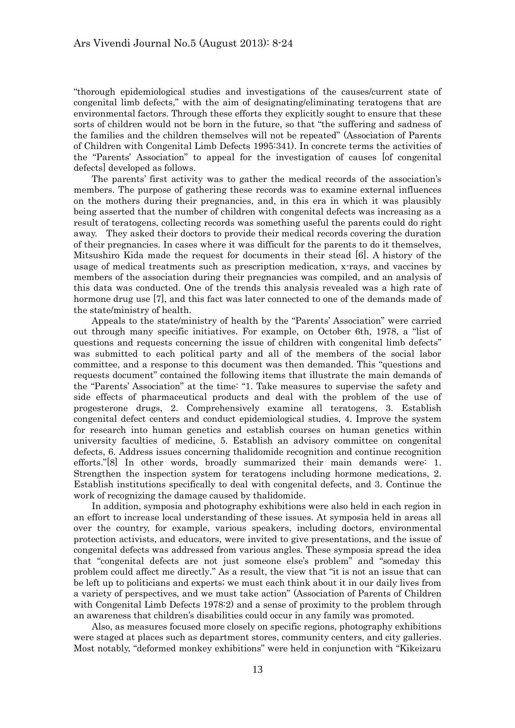"thorough epidemiological studies and investigations of the causes/current state of congenital limb defects," with the aim of designating/eliminating teratogens that are environmental factors. Through these efforts they explicitly sought to ensure that these sorts of children would not be born in the future, so that "the suffering and sadness of the families and the children themselves will not be repeated" (Association of Parents of Children with Congenital Limb Defects 1995:341). In concrete terms the activities of the "Parents' Association" to appeal for the investigation of causes [of congenital defects] developed as follows.

 The parents' first activity was to gather the medical records of the association's members. The purpose of gathering these records was to examine external influences on the mothers during their pregnancies, and, in this era in which it was plausibly being asserted that the number of children with congenital defects was increasing as a result of teratogens, collecting records was something useful the parents could do right away. They asked their doctors to provide their medical records covering the duration of their pregnancies. In cases where it was difficult for the parents to do it themselves, Mitsushiro Kida made the request for documents in their stead [6]. A history of the usage of medical treatments such as prescription medication, x-rays, and vaccines by members of the association during their pregnancies was compiled, and an analysis of this data was conducted. One of the trends this analysis revealed was a high rate of hormone drug use [7], and this fact was later connected to one of the demands made of the state/ministry of health.

 Appeals to the state/ministry of health by the "Parents' Association" were carried out through many specific initiatives. For example, on October 6th, 1978, a "list of questions and requests concerning the issue of children with congenital limb defects" was submitted to each political party and all of the members of the social labor committee, and a response to this document was then demanded. This "questions and requests document" contained the following items that illustrate the main demands of the "Parents' Association" at the time: "1. Take measures to supervise the safety and side effects of pharmaceutical products and deal with the problem of the use of progesterone drugs, 2. Comprehensively examine all teratogens, 3. Establish congenital defect centers and conduct epidemiological studies, 4. Improve the system for research into human genetics and establish courses on human genetics within university faculties of medicine, 5. Establish an advisory committee on congenital defects, 6. Address issues concerning thalidomide recognition and continue recognition efforts."[8] In other words, broadly summarized their main demands were: 1. Strengthen the inspection system for teratogens including hormone medications, 2. Establish institutions specifically to deal with congenital defects, and 3. Continue the work of recognizing the damage caused by thalidomide.

 In addition, symposia and photography exhibitions were also held in each region in an effort to increase local understanding of these issues. At symposia held in areas all over the country, for example, various speakers, including doctors, environmental protection activists, and educators, were invited to give presentations, and the issue of congenital defects was addressed from various angles. These symposia spread the idea that "congenital defects are not just someone else's problem" and "someday this problem could affect me directly." As a result, the view that "it is not an issue that can be left up to politicians and experts; we must each think about it in our daily lives from a variety of perspectives, and we must take action" (Association of Parents of Children with Congenital Limb Defects 1978:2) and a sense of proximity to the problem through an awareness that children's disabilities could occur in any family was promoted.

 Also, as measures focused more closely on specific regions, photography exhibitions were staged at places such as department stores, community centers, and city galleries. Most notably, "deformed monkey exhibitions" were held in conjunction with "Kikeizaru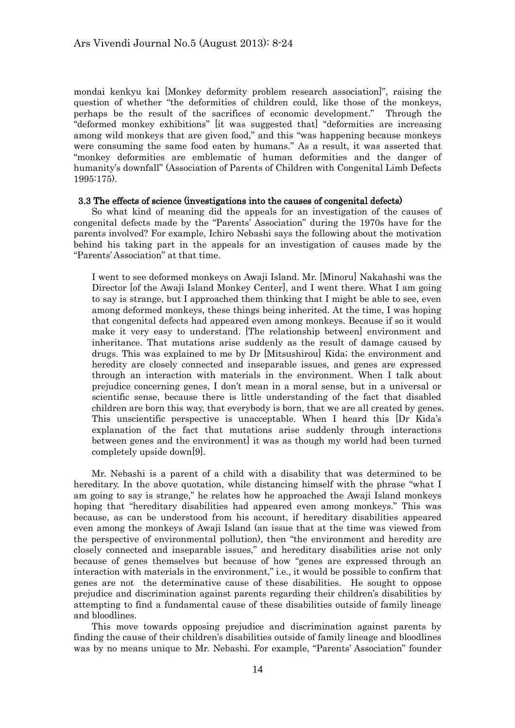mondai kenkyu kai [Monkey deformity problem research association]", raising the question of whether "the deformities of children could, like those of the monkeys, perhaps be the result of the sacrifices of economic development." Through the "deformed monkey exhibitions" [it was suggested that] "deformities are increasing among wild monkeys that are given food," and this "was happening because monkeys were consuming the same food eaten by humans." As a result, it was asserted that "monkey deformities are emblematic of human deformities and the danger of humanity's downfall" (Association of Parents of Children with Congenital Limb Defects 1995:175).

#### 3.3 The effects of science (investigations into the causes of congenital defects)

 So what kind of meaning did the appeals for an investigation of the causes of congenital defects made by the "Parents' Association" during the 1970s have for the parents involved? For example, Ichiro Nebashi says the following about the motivation behind his taking part in the appeals for an investigation of causes made by the "Parents' Association" at that time.

I went to see deformed monkeys on Awaji Island. Mr. [Minoru] Nakahashi was the Director [of the Awaji Island Monkey Center], and I went there. What I am going to say is strange, but I approached them thinking that I might be able to see, even among deformed monkeys, these things being inherited. At the time, I was hoping that congenital defects had appeared even among monkeys. Because if so it would make it very easy to understand. [The relationship between] environment and inheritance. That mutations arise suddenly as the result of damage caused by drugs. This was explained to me by Dr [Mitsushirou] Kida; the environment and heredity are closely connected and inseparable issues, and genes are expressed through an interaction with materials in the environment. When I talk about prejudice concerning genes, I don't mean in a moral sense, but in a universal or scientific sense, because there is little understanding of the fact that disabled children are born this way, that everybody is born, that we are all created by genes. This unscientific perspective is unacceptable. When I heard this [Dr Kida's explanation of the fact that mutations arise suddenly through interactions between genes and the environment] it was as though my world had been turned completely upside down[9].

 Mr. Nebashi is a parent of a child with a disability that was determined to be hereditary. In the above quotation, while distancing himself with the phrase "what I am going to say is strange," he relates how he approached the Awaji Island monkeys hoping that "hereditary disabilities had appeared even among monkeys." This was because, as can be understood from his account, if hereditary disabilities appeared even among the monkeys of Awaji Island (an issue that at the time was viewed from the perspective of environmental pollution), then "the environment and heredity are closely connected and inseparable issues," and hereditary disabilities arise not only because of genes themselves but because of how "genes are expressed through an interaction with materials in the environment," i.e., it would be possible to confirm that genes are not the determinative cause of these disabilities. He sought to oppose prejudice and discrimination against parents regarding their children's disabilities by attempting to find a fundamental cause of these disabilities outside of family lineage and bloodlines.

 This move towards opposing prejudice and discrimination against parents by finding the cause of their children's disabilities outside of family lineage and bloodlines was by no means unique to Mr. Nebashi. For example, "Parents' Association" founder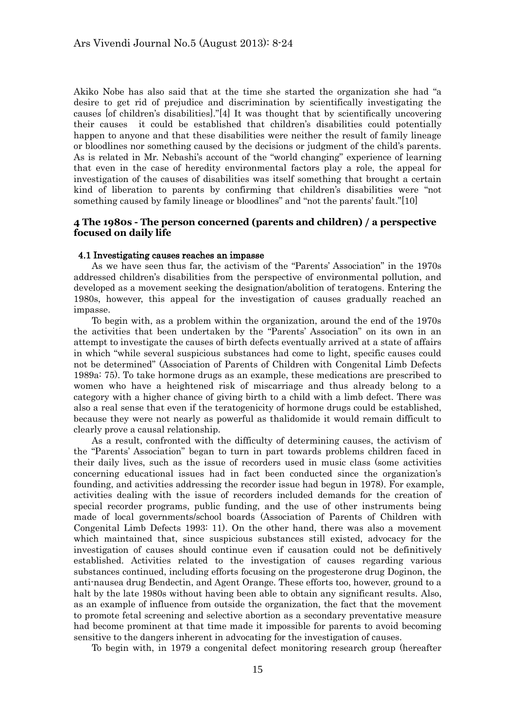Akiko Nobe has also said that at the time she started the organization she had "a desire to get rid of prejudice and discrimination by scientifically investigating the causes [of children's disabilities]."[4] It was thought that by scientifically uncovering their causes it could be established that children's disabilities could potentially happen to anyone and that these disabilities were neither the result of family lineage or bloodlines nor something caused by the decisions or judgment of the child's parents. As is related in Mr. Nebashi's account of the "world changing" experience of learning that even in the case of heredity environmental factors play a role, the appeal for investigation of the causes of disabilities was itself something that brought a certain kind of liberation to parents by confirming that children's disabilities were "not something caused by family lineage or bloodlines" and "not the parents' fault."[10]

## **4 The 1980s - The person concerned (parents and children) / a perspective focused on daily life**

#### 4.1 Investigating causes reaches an impasse

 As we have seen thus far, the activism of the "Parents' Association" in the 1970s addressed children's disabilities from the perspective of environmental pollution, and developed as a movement seeking the designation/abolition of teratogens. Entering the 1980s, however, this appeal for the investigation of causes gradually reached an impasse.

 To begin with, as a problem within the organization, around the end of the 1970s the activities that been undertaken by the "Parents' Association" on its own in an attempt to investigate the causes of birth defects eventually arrived at a state of affairs in which "while several suspicious substances had come to light, specific causes could not be determined" (Association of Parents of Children with Congenital Limb Defects 1989a: 75). To take hormone drugs as an example, these medications are prescribed to women who have a heightened risk of miscarriage and thus already belong to a category with a higher chance of giving birth to a child with a limb defect. There was also a real sense that even if the teratogenicity of hormone drugs could be established, because they were not nearly as powerful as thalidomide it would remain difficult to clearly prove a causal relationship.

 As a result, confronted with the difficulty of determining causes, the activism of the "Parents' Association" began to turn in part towards problems children faced in their daily lives, such as the issue of recorders used in music class (some activities concerning educational issues had in fact been conducted since the organization's founding, and activities addressing the recorder issue had begun in 1978). For example, activities dealing with the issue of recorders included demands for the creation of special recorder programs, public funding, and the use of other instruments being made of local governments/school boards (Association of Parents of Children with Congenital Limb Defects 1993: 11). On the other hand, there was also a movement which maintained that, since suspicious substances still existed, advocacy for the investigation of causes should continue even if causation could not be definitively established. Activities related to the investigation of causes regarding various substances continued, including efforts focusing on the progesterone drug Doginon, the anti-nausea drug Bendectin, and Agent Orange. These efforts too, however, ground to a halt by the late 1980s without having been able to obtain any significant results. Also, as an example of influence from outside the organization, the fact that the movement to promote fetal screening and selective abortion as a secondary preventative measure had become prominent at that time made it impossible for parents to avoid becoming sensitive to the dangers inherent in advocating for the investigation of causes.

To begin with, in 1979 a congenital defect monitoring research group (hereafter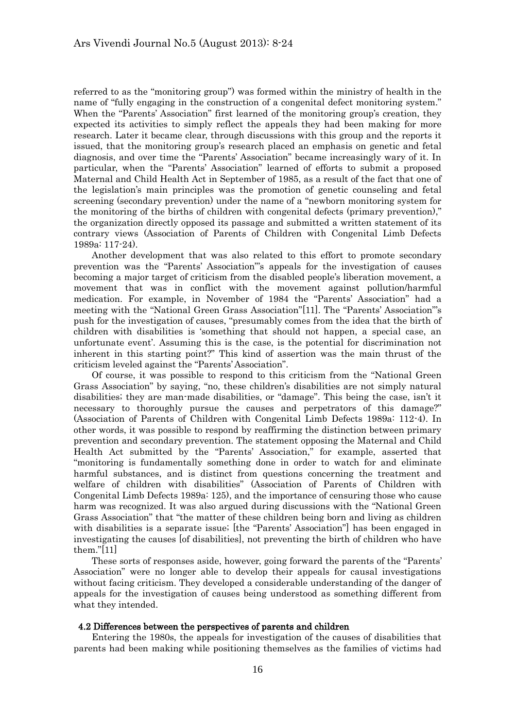referred to as the "monitoring group") was formed within the ministry of health in the name of "fully engaging in the construction of a congenital defect monitoring system." When the "Parents' Association" first learned of the monitoring group's creation, they expected its activities to simply reflect the appeals they had been making for more research. Later it became clear, through discussions with this group and the reports it issued, that the monitoring group's research placed an emphasis on genetic and fetal diagnosis, and over time the "Parents' Association" became increasingly wary of it. In particular, when the "Parents' Association" learned of efforts to submit a proposed Maternal and Child Health Act in September of 1985, as a result of the fact that one of the legislation's main principles was the promotion of genetic counseling and fetal screening (secondary prevention) under the name of a "newborn monitoring system for the monitoring of the births of children with congenital defects (primary prevention)," the organization directly opposed its passage and submitted a written statement of its contrary views (Association of Parents of Children with Congenital Limb Defects 1989a: 117-24).

 Another development that was also related to this effort to promote secondary prevention was the "Parents' Association"'s appeals for the investigation of causes becoming a major target of criticism from the disabled people's liberation movement, a movement that was in conflict with the movement against pollution/harmful medication. For example, in November of 1984 the "Parents' Association" had a meeting with the "National Green Grass Association"[11]. The "Parents' Association"'s push for the investigation of causes, "presumably comes from the idea that the birth of children with disabilities is 'something that should not happen, a special case, an unfortunate event'. Assuming this is the case, is the potential for discrimination not inherent in this starting point?" This kind of assertion was the main thrust of the criticism leveled against the "Parents' Association".

 Of course, it was possible to respond to this criticism from the "National Green Grass Association" by saying, "no, these children's disabilities are not simply natural disabilities; they are man-made disabilities, or "damage". This being the case, isn't it necessary to thoroughly pursue the causes and perpetrators of this damage?" (Association of Parents of Children with Congenital Limb Defects 1989a: 112-4). In other words, it was possible to respond by reaffirming the distinction between primary prevention and secondary prevention. The statement opposing the Maternal and Child Health Act submitted by the "Parents' Association," for example, asserted that "monitoring is fundamentally something done in order to watch for and eliminate harmful substances, and is distinct from questions concerning the treatment and welfare of children with disabilities" (Association of Parents of Children with Congenital Limb Defects 1989a: 125), and the importance of censuring those who cause harm was recognized. It was also argued during discussions with the "National Green Grass Association" that "the matter of these children being born and living as children with disabilities is a separate issue; [the "Parents' Association"] has been engaged in investigating the causes [of disabilities], not preventing the birth of children who have them."[11]

These sorts of responses aside, however, going forward the parents of the "Parents" Association" were no longer able to develop their appeals for causal investigations without facing criticism. They developed a considerable understanding of the danger of appeals for the investigation of causes being understood as something different from what they intended.

#### 4.2 Differences between the perspectives of parents and children

 Entering the 1980s, the appeals for investigation of the causes of disabilities that parents had been making while positioning themselves as the families of victims had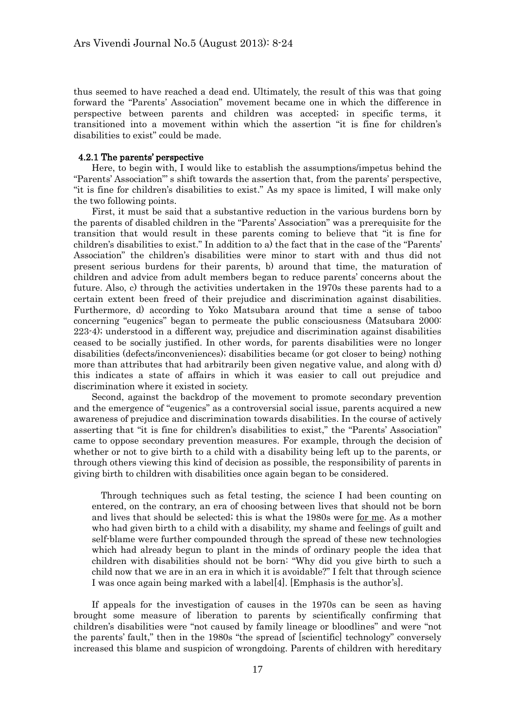thus seemed to have reached a dead end. Ultimately, the result of this was that going forward the "Parents' Association" movement became one in which the difference in perspective between parents and children was accepted; in specific terms, it transitioned into a movement within which the assertion "it is fine for children's disabilities to exist" could be made.

### 4.2.1 The parents' perspective

 Here, to begin with, I would like to establish the assumptions/impetus behind the "Parents' Association"' s shift towards the assertion that, from the parents' perspective, "it is fine for children's disabilities to exist." As my space is limited, I will make only the two following points.

 First, it must be said that a substantive reduction in the various burdens born by the parents of disabled children in the "Parents' Association" was a prerequisite for the transition that would result in these parents coming to believe that "it is fine for children's disabilities to exist." In addition to a) the fact that in the case of the "Parents' Association" the children's disabilities were minor to start with and thus did not present serious burdens for their parents, b) around that time, the maturation of children and advice from adult members began to reduce parents' concerns about the future. Also, c) through the activities undertaken in the 1970s these parents had to a certain extent been freed of their prejudice and discrimination against disabilities. Furthermore, d) according to Yoko Matsubara around that time a sense of taboo concerning "eugenics" began to permeate the public consciousness (Matsubara 2000: 223-4); understood in a different way, prejudice and discrimination against disabilities ceased to be socially justified. In other words, for parents disabilities were no longer disabilities (defects/inconveniences); disabilities became (or got closer to being) nothing more than attributes that had arbitrarily been given negative value, and along with d) this indicates a state of affairs in which it was easier to call out prejudice and discrimination where it existed in society.

 Second, against the backdrop of the movement to promote secondary prevention and the emergence of "eugenics" as a controversial social issue, parents acquired a new awareness of prejudice and discrimination towards disabilities. In the course of actively asserting that "it is fine for children's disabilities to exist," the "Parents' Association" came to oppose secondary prevention measures. For example, through the decision of whether or not to give birth to a child with a disability being left up to the parents, or through others viewing this kind of decision as possible, the responsibility of parents in giving birth to children with disabilities once again began to be considered.

Through techniques such as fetal testing, the science I had been counting on entered, on the contrary, an era of choosing between lives that should not be born and lives that should be selected; this is what the 1980s were for me. As a mother who had given birth to a child with a disability, my shame and feelings of guilt and self-blame were further compounded through the spread of these new technologies which had already begun to plant in the minds of ordinary people the idea that children with disabilities should not be born: "Why did you give birth to such a child now that we are in an era in which it is avoidable?" I felt that through science I was once again being marked with a label[4]. [Emphasis is the author's].

 If appeals for the investigation of causes in the 1970s can be seen as having brought some measure of liberation to parents by scientifically confirming that children's disabilities were "not caused by family lineage or bloodlines" and were "not the parents' fault," then in the 1980s "the spread of [scientific] technology" conversely increased this blame and suspicion of wrongdoing. Parents of children with hereditary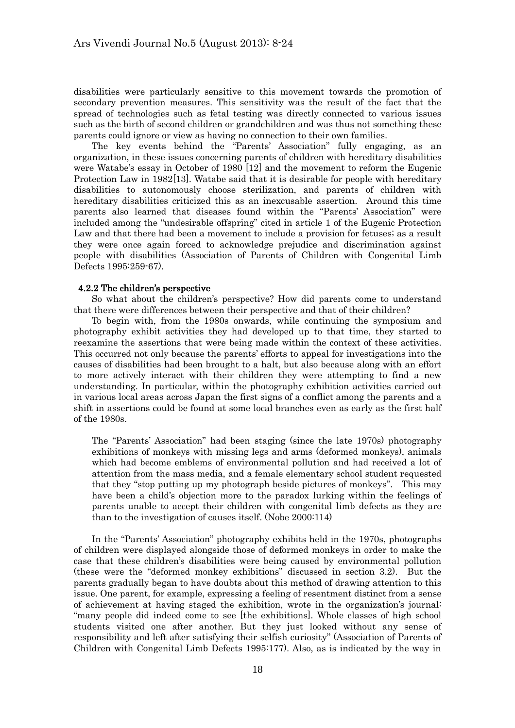disabilities were particularly sensitive to this movement towards the promotion of secondary prevention measures. This sensitivity was the result of the fact that the spread of technologies such as fetal testing was directly connected to various issues such as the birth of second children or grandchildren and was thus not something these parents could ignore or view as having no connection to their own families.

 The key events behind the "Parents' Association" fully engaging, as an organization, in these issues concerning parents of children with hereditary disabilities were Watabe's essay in October of 1980 [12] and the movement to reform the Eugenic Protection Law in 1982[13]. Watabe said that it is desirable for people with hereditary disabilities to autonomously choose sterilization, and parents of children with hereditary disabilities criticized this as an inexcusable assertion. Around this time parents also learned that diseases found within the "Parents' Association" were included among the "undesirable offspring" cited in article 1 of the Eugenic Protection Law and that there had been a movement to include a provision for fetuses; as a result they were once again forced to acknowledge prejudice and discrimination against people with disabilities (Association of Parents of Children with Congenital Limb Defects 1995:259-67).

## 4.2.2 The children's perspective

 So what about the children's perspective? How did parents come to understand that there were differences between their perspective and that of their children?

 To begin with, from the 1980s onwards, while continuing the symposium and photography exhibit activities they had developed up to that time, they started to reexamine the assertions that were being made within the context of these activities. This occurred not only because the parents' efforts to appeal for investigations into the causes of disabilities had been brought to a halt, but also because along with an effort to more actively interact with their children they were attempting to find a new understanding. In particular, within the photography exhibition activities carried out in various local areas across Japan the first signs of a conflict among the parents and a shift in assertions could be found at some local branches even as early as the first half of the 1980s.

The "Parents' Association" had been staging (since the late 1970s) photography exhibitions of monkeys with missing legs and arms (deformed monkeys), animals which had become emblems of environmental pollution and had received a lot of attention from the mass media, and a female elementary school student requested that they "stop putting up my photograph beside pictures of monkeys". This may have been a child's objection more to the paradox lurking within the feelings of parents unable to accept their children with congenital limb defects as they are than to the investigation of causes itself. (Nobe 2000:114)

 In the "Parents' Association" photography exhibits held in the 1970s, photographs of children were displayed alongside those of deformed monkeys in order to make the case that these children's disabilities were being caused by environmental pollution (these were the "deformed monkey exhibitions" discussed in section 3.2). But the parents gradually began to have doubts about this method of drawing attention to this issue. One parent, for example, expressing a feeling of resentment distinct from a sense of achievement at having staged the exhibition, wrote in the organization's journal: "many people did indeed come to see [the exhibitions]. Whole classes of high school students visited one after another. But they just looked without any sense of responsibility and left after satisfying their selfish curiosity" (Association of Parents of Children with Congenital Limb Defects 1995:177). Also, as is indicated by the way in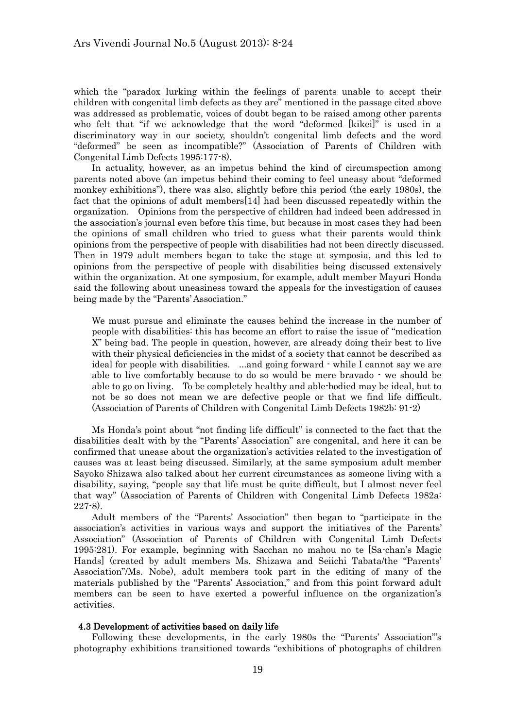which the "paradox lurking within the feelings of parents unable to accept their children with congenital limb defects as they are" mentioned in the passage cited above was addressed as problematic, voices of doubt began to be raised among other parents who felt that "if we acknowledge that the word "deformed [kikei]" is used in a discriminatory way in our society, shouldn't congenital limb defects and the word "deformed" be seen as incompatible?" (Association of Parents of Children with Congenital Limb Defects 1995:177-8).

 In actuality, however, as an impetus behind the kind of circumspection among parents noted above (an impetus behind their coming to feel uneasy about "deformed monkey exhibitions"), there was also, slightly before this period (the early 1980s), the fact that the opinions of adult members[14] had been discussed repeatedly within the organization. Opinions from the perspective of children had indeed been addressed in the association's journal even before this time, but because in most cases they had been the opinions of small children who tried to guess what their parents would think opinions from the perspective of people with disabilities had not been directly discussed. Then in 1979 adult members began to take the stage at symposia, and this led to opinions from the perspective of people with disabilities being discussed extensively within the organization. At one symposium, for example, adult member Mayuri Honda said the following about uneasiness toward the appeals for the investigation of causes being made by the "Parents' Association."

We must pursue and eliminate the causes behind the increase in the number of people with disabilities: this has become an effort to raise the issue of "medication X" being bad. The people in question, however, are already doing their best to live with their physical deficiencies in the midst of a society that cannot be described as ideal for people with disabilities. ...and going forward - while I cannot say we are able to live comfortably because to do so would be mere bravado - we should be able to go on living. To be completely healthy and able-bodied may be ideal, but to not be so does not mean we are defective people or that we find life difficult. (Association of Parents of Children with Congenital Limb Defects 1982b: 91-2)

 Ms Honda's point about "not finding life difficult" is connected to the fact that the disabilities dealt with by the "Parents' Association" are congenital, and here it can be confirmed that unease about the organization's activities related to the investigation of causes was at least being discussed. Similarly, at the same symposium adult member Sayoko Shizawa also talked about her current circumstances as someone living with a disability, saying, "people say that life must be quite difficult, but I almost never feel that way" (Association of Parents of Children with Congenital Limb Defects 1982a: 227-8).

 Adult members of the "Parents' Association" then began to "participate in the association's activities in various ways and support the initiatives of the Parents' Association" (Association of Parents of Children with Congenital Limb Defects 1995:281). For example, beginning with Sacchan no mahou no te [Sa-chan's Magic Hands] (created by adult members Ms. Shizawa and Seiichi Tabata/the "Parents' Association"/Ms. Nobe), adult members took part in the editing of many of the materials published by the "Parents' Association," and from this point forward adult members can be seen to have exerted a powerful influence on the organization's activities.

#### 4.3 Development of activities based on daily life

 Following these developments, in the early 1980s the "Parents' Association"'s photography exhibitions transitioned towards "exhibitions of photographs of children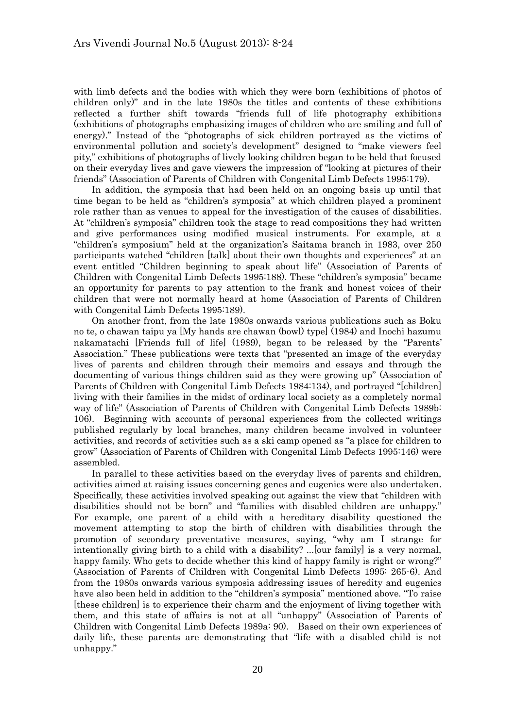with limb defects and the bodies with which they were born (exhibitions of photos of children only)" and in the late 1980s the titles and contents of these exhibitions reflected a further shift towards "friends full of life photography exhibitions (exhibitions of photographs emphasizing images of children who are smiling and full of energy)." Instead of the "photographs of sick children portrayed as the victims of environmental pollution and society's development" designed to "make viewers feel pity," exhibitions of photographs of lively looking children began to be held that focused on their everyday lives and gave viewers the impression of "looking at pictures of their friends" (Association of Parents of Children with Congenital Limb Defects 1995:179).

 In addition, the symposia that had been held on an ongoing basis up until that time began to be held as "children's symposia" at which children played a prominent role rather than as venues to appeal for the investigation of the causes of disabilities. At "children's symposia" children took the stage to read compositions they had written and give performances using modified musical instruments. For example, at a "children's symposium" held at the organization's Saitama branch in 1983, over 250 participants watched "children [talk] about their own thoughts and experiences" at an event entitled "Children beginning to speak about life" (Association of Parents of Children with Congenital Limb Defects 1995:188). These "children's symposia" became an opportunity for parents to pay attention to the frank and honest voices of their children that were not normally heard at home (Association of Parents of Children with Congenital Limb Defects 1995:189).

 On another front, from the late 1980s onwards various publications such as Boku no te, o chawan taipu ya [My hands are chawan (bowl) type] (1984) and Inochi hazumu nakamatachi [Friends full of life] (1989), began to be released by the "Parents' Association." These publications were texts that "presented an image of the everyday lives of parents and children through their memoirs and essays and through the documenting of various things children said as they were growing up" (Association of Parents of Children with Congenital Limb Defects 1984:134), and portrayed "[children] living with their families in the midst of ordinary local society as a completely normal way of life" (Association of Parents of Children with Congenital Limb Defects 1989b: 106). Beginning with accounts of personal experiences from the collected writings published regularly by local branches, many children became involved in volunteer activities, and records of activities such as a ski camp opened as "a place for children to grow" (Association of Parents of Children with Congenital Limb Defects 1995:146) were assembled.

 In parallel to these activities based on the everyday lives of parents and children, activities aimed at raising issues concerning genes and eugenics were also undertaken. Specifically, these activities involved speaking out against the view that "children with disabilities should not be born" and "families with disabled children are unhappy." For example, one parent of a child with a hereditary disability questioned the movement attempting to stop the birth of children with disabilities through the promotion of secondary preventative measures, saying, "why am I strange for intentionally giving birth to a child with a disability? ...[our family] is a very normal, happy family. Who gets to decide whether this kind of happy family is right or wrong?" (Association of Parents of Children with Congenital Limb Defects 1995: 265-6). And from the 1980s onwards various symposia addressing issues of heredity and eugenics have also been held in addition to the "children's symposia" mentioned above. "To raise [these children] is to experience their charm and the enjoyment of living together with them, and this state of affairs is not at all "unhappy" (Association of Parents of Children with Congenital Limb Defects 1989a: 90). Based on their own experiences of daily life, these parents are demonstrating that "life with a disabled child is not unhappy."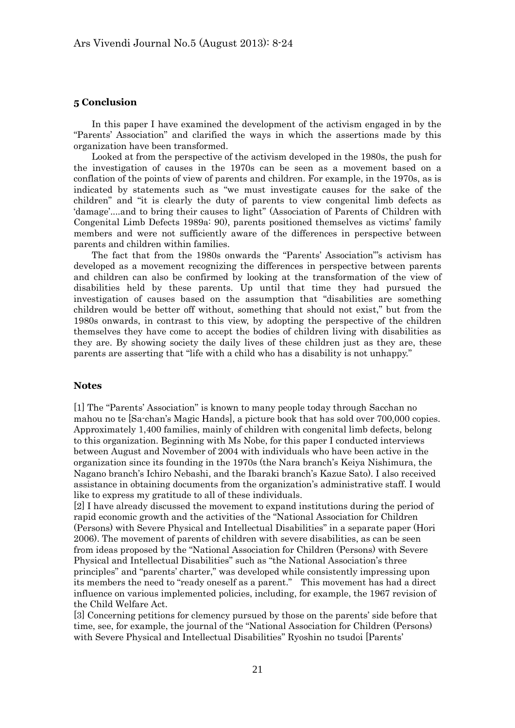# **5 Conclusion**

 In this paper I have examined the development of the activism engaged in by the "Parents' Association" and clarified the ways in which the assertions made by this organization have been transformed.

 Looked at from the perspective of the activism developed in the 1980s, the push for the investigation of causes in the 1970s can be seen as a movement based on a conflation of the points of view of parents and children. For example, in the 1970s, as is indicated by statements such as "we must investigate causes for the sake of the children" and "it is clearly the duty of parents to view congenital limb defects as 'damage'....and to bring their causes to light" (Association of Parents of Children with Congenital Limb Defects 1989a: 90), parents positioned themselves as victims' family members and were not sufficiently aware of the differences in perspective between parents and children within families.

 The fact that from the 1980s onwards the "Parents' Association"'s activism has developed as a movement recognizing the differences in perspective between parents and children can also be confirmed by looking at the transformation of the view of disabilities held by these parents. Up until that time they had pursued the investigation of causes based on the assumption that "disabilities are something children would be better off without, something that should not exist," but from the 1980s onwards, in contrast to this view, by adopting the perspective of the children themselves they have come to accept the bodies of children living with disabilities as they are. By showing society the daily lives of these children just as they are, these parents are asserting that "life with a child who has a disability is not unhappy."

#### **Notes**

[1] The "Parents' Association" is known to many people today through Sacchan no mahou no te [Sa-chan's Magic Hands], a picture book that has sold over 700,000 copies. Approximately 1,400 families, mainly of children with congenital limb defects, belong to this organization. Beginning with Ms Nobe, for this paper I conducted interviews between August and November of 2004 with individuals who have been active in the organization since its founding in the 1970s (the Nara branch's Keiya Nishimura, the Nagano branch's Ichiro Nebashi, and the Ibaraki branch's Kazue Sato). I also received assistance in obtaining documents from the organization's administrative staff. I would like to express my gratitude to all of these individuals.

[2] I have already discussed the movement to expand institutions during the period of rapid economic growth and the activities of the "National Association for Children (Persons) with Severe Physical and Intellectual Disabilities" in a separate paper (Hori 2006). The movement of parents of children with severe disabilities, as can be seen from ideas proposed by the "National Association for Children (Persons) with Severe Physical and Intellectual Disabilities" such as "the National Association's three principles" and "parents' charter," was developed while consistently impressing upon its members the need to "ready oneself as a parent." This movement has had a direct influence on various implemented policies, including, for example, the 1967 revision of the Child Welfare Act.

[3] Concerning petitions for clemency pursued by those on the parents' side before that time, see, for example, the journal of the "National Association for Children (Persons) with Severe Physical and Intellectual Disabilities" Ryoshin no tsudoi [Parents'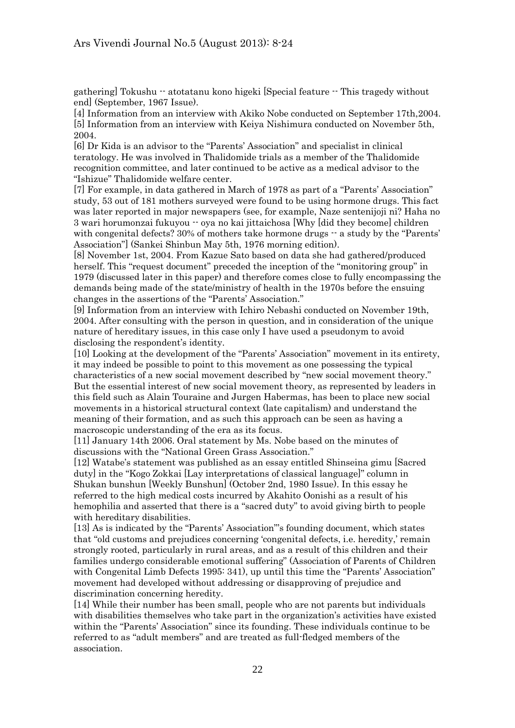gathering] Tokushu -- atotatanu kono higeki [Special feature -- This tragedy without end] (September, 1967 Issue).

[4] Information from an interview with Akiko Nobe conducted on September 17th,2004. [5] Information from an interview with Keiya Nishimura conducted on November 5th, 2004.

[6] Dr Kida is an advisor to the "Parents' Association" and specialist in clinical teratology. He was involved in Thalidomide trials as a member of the Thalidomide recognition committee, and later continued to be active as a medical advisor to the "Ishizue" Thalidomide welfare center.

[7] For example, in data gathered in March of 1978 as part of a "Parents' Association" study, 53 out of 181 mothers surveyed were found to be using hormone drugs. This fact was later reported in major newspapers (see, for example, Naze sentenijoji ni? Haha no 3 wari horumonzai fukuyou -- oya no kai jittaichosa [Why [did they become] children with congenital defects? 30% of mothers take hormone drugs  $-$  a study by the "Parents" Association"] (Sankei Shinbun May 5th, 1976 morning edition).

[8] November 1st, 2004. From Kazue Sato based on data she had gathered/produced herself. This "request document" preceded the inception of the "monitoring group" in 1979 (discussed later in this paper) and therefore comes close to fully encompassing the demands being made of the state/ministry of health in the 1970s before the ensuing changes in the assertions of the "Parents' Association."

[9] Information from an interview with Ichiro Nebashi conducted on November 19th, 2004. After consulting with the person in question, and in consideration of the unique nature of hereditary issues, in this case only I have used a pseudonym to avoid disclosing the respondent's identity.

[10] Looking at the development of the "Parents' Association" movement in its entirety, it may indeed be possible to point to this movement as one possessing the typical characteristics of a new social movement described by "new social movement theory." But the essential interest of new social movement theory, as represented by leaders in this field such as Alain Touraine and Jurgen Habermas, has been to place new social movements in a historical structural context (late capitalism) and understand the meaning of their formation, and as such this approach can be seen as having a macroscopic understanding of the era as its focus.

[11] January 14th 2006. Oral statement by Ms. Nobe based on the minutes of discussions with the "National Green Grass Association."

[12] Watabe's statement was published as an essay entitled Shinseina gimu [Sacred duty] in the "Kogo Zokkai [Lay interpretations of classical language]" column in Shukan bunshun [Weekly Bunshun] (October 2nd, 1980 Issue). In this essay he referred to the high medical costs incurred by Akahito Oonishi as a result of his hemophilia and asserted that there is a "sacred duty" to avoid giving birth to people with hereditary disabilities.

[13] As is indicated by the "Parents' Association"'s founding document, which states that "old customs and prejudices concerning 'congenital defects, i.e. heredity,' remain strongly rooted, particularly in rural areas, and as a result of this children and their families undergo considerable emotional suffering" (Association of Parents of Children with Congenital Limb Defects 1995: 341), up until this time the "Parents' Association" movement had developed without addressing or disapproving of prejudice and discrimination concerning heredity.

[14] While their number has been small, people who are not parents but individuals with disabilities themselves who take part in the organization's activities have existed within the "Parents' Association" since its founding. These individuals continue to be referred to as "adult members" and are treated as full-fledged members of the association.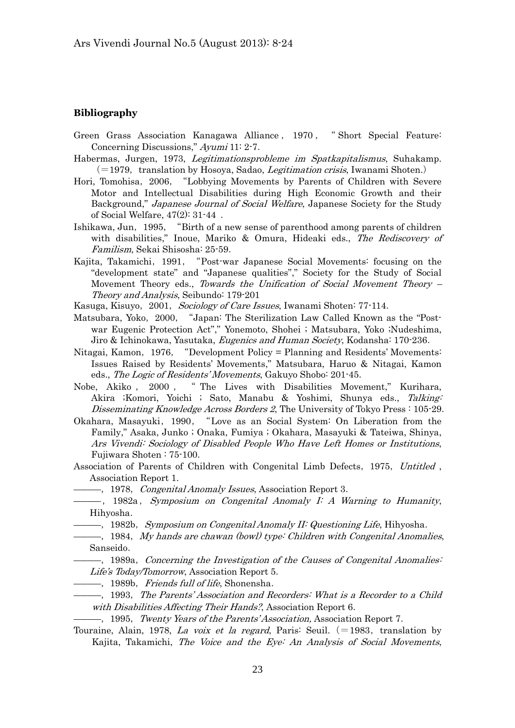## **Bibliography**

- Green Grass Association Kanagawa Alliance , 1970 , " Short Special Feature: Concerning Discussions," Ayumi 11: 2-7.
- Habermas, Jurgen, 1973, Legitimationsprobleme im Spatkapitalismus, Suhakamp.  $(=1979,$  translation by Hosoya, Sadao, *Legitimation crisis*, Iwanami Shoten.)
- Hori, Tomohisa,2006,"Lobbying Movements by Parents of Children with Severe Motor and Intellectual Disabilities during High Economic Growth and their Background," Japanese Journal of Social Welfare, Japanese Society for the Study of Social Welfare, 47(2): 31-44 .
- Ishikawa, Jun, 1995, "Birth of a new sense of parenthood among parents of children with disabilities," Inoue, Mariko & Omura, Hideaki eds., The Rediscovery of Familism, Sekai Shisosha: 25-59.
- Kajita, Takamichi, 1991, "Post-war Japanese Social Movements: focusing on the "development state" and "Japanese qualities"," Society for the Study of Social Movement Theory eds., Towards the Unification of Social Movement Theory – Theory and Analysis, Seibundo: 179-201
- Kasuga, Kisuyo, 2001, Sociology of Care Issues, Iwanami Shoten: 77-114.
- Matsubara, Yoko,2000,"Japan: The Sterilization Law Called Known as the "Postwar Eugenic Protection Act"," Yonemoto, Shohei ; Matsubara, Yoko ;Nudeshima, Jiro & Ichinokawa, Yasutaka, *Eugenics and Human Society*, Kodansha: 170-236.
- Nitagai, Kamon, 1976, "Development Policy = Planning and Residents' Movements: Issues Raised by Residents' Movements," Matsubara, Haruo & Nitagai, Kamon eds., The Logic of Residents' Movements, Gakuyo Shobo: 201-45.
- Nobe, Akiko , 2000 , " The Lives with Disabilities Movement," Kurihara, Akira ;Komori, Yoichi ; Sato, Manabu & Yoshimi, Shunya eds., Talking: Disseminating Knowledge Across Borders 2, The University of Tokyo Press : 105-29.
- Okahara, Masayuki,1990,"Love as an Social System: On Liberation from the Family," Asaka, Junko ; Onaka, Fumiya ; Okahara, Masayuki & Tateiwa, Shinya, Ars Vivendi: Sociology of Disabled People Who Have Left Homes or Institutions, Fujiwara Shoten : 75-100.
- Association of Parents of Children with Congenital Limb Defects, 1975, Untitled, Association Report 1.
- —, 1978, *Congenital Anomaly Issues*, Association Report 3.
- ――――,1982a,Symposium on Congenital Anomaly I: A Warning to Humanity, Hihyosha.
	- ――――,1982b,Symposium on Congenital Anomaly II: Questioning Life, Hihyosha.
- $\frac{1}{1984}$ ,  $\frac{1}{1984}$ ,  $\frac{1}{244}$  hands are chawan (bowl) type: Children with Congenital Anomalies, Sanseido.
- $-$ , 1989a, Concerning the Investigation of the Causes of Congenital Anomalies: Life's Today/Tomorrow, Association Report 5.
- —, 1989b, Friends full of life, Shonensha.
- ――――,1993,The Parents' Association and Recorders: What is a Recorder to a Child with Disabilities Affecting Their Hands?, Association Report 6.
	- ――――,1995,Twenty Years of the Parents' Association, Association Report 7.
- Touraine, Alain, 1978, La voix et la regard, Paris: Seuil.  $(=1983,$  translation by Kajita, Takamichi, The Voice and the Eye: An Analysis of Social Movements,